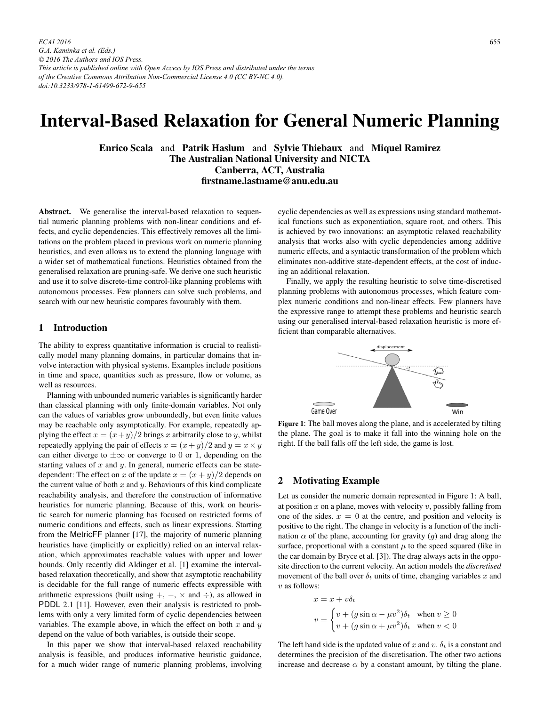*ECAI 2016 G.A. Kaminka et al. (Eds.) © 2016 The Authors and IOS Press. This article is published online with Open Access by IOS Press and distributed under the terms of the Creative Commons Attribution Non-Commercial License 4.0 (CC BY-NC 4.0). doi:10.3233/978-1-61499-672-9-655*

# Interval-Based Relaxation for General Numeric Planning

Enrico Scala and Patrik Haslum and Sylvie Thiebaux and Miquel Ramirez The Australian National University and NICTA Canberra, ACT, Australia firstname.lastname@anu.edu.au

Abstract. We generalise the interval-based relaxation to sequential numeric planning problems with non-linear conditions and effects, and cyclic dependencies. This effectively removes all the limitations on the problem placed in previous work on numeric planning heuristics, and even allows us to extend the planning language with a wider set of mathematical functions. Heuristics obtained from the generalised relaxation are pruning-safe. We derive one such heuristic and use it to solve discrete-time control-like planning problems with autonomous processes. Few planners can solve such problems, and search with our new heuristic compares favourably with them.

## 1 Introduction

The ability to express quantitative information is crucial to realistically model many planning domains, in particular domains that involve interaction with physical systems. Examples include positions in time and space, quantities such as pressure, flow or volume, as well as resources.

Planning with unbounded numeric variables is significantly harder than classical planning with only finite-domain variables. Not only can the values of variables grow unboundedly, but even finite values may be reachable only asymptotically. For example, repeatedly applying the effect  $x = (x+y)/2$  brings x arbitrarily close to y, whilst repeatedly applying the pair of effects  $x = (x+y)/2$  and  $y = x \times y$ can either diverge to  $\pm \infty$  or converge to 0 or 1, depending on the starting values of  $x$  and  $y$ . In general, numeric effects can be statedependent: The effect on x of the update  $x = (x + y)/2$  depends on the current value of both  $x$  and  $y$ . Behaviours of this kind complicate reachability analysis, and therefore the construction of informative heuristics for numeric planning. Because of this, work on heuristic search for numeric planning has focused on restricted forms of numeric conditions and effects, such as linear expressions. Starting from the MetricFF planner [17], the majority of numeric planning heuristics have (implicitly or explicitly) relied on an interval relaxation, which approximates reachable values with upper and lower bounds. Only recently did Aldinger et al. [1] examine the intervalbased relaxation theoretically, and show that asymptotic reachability is decidable for the full range of numeric effects expressible with arithmetic expressions (built using  $+$ ,  $-$ ,  $\times$  and  $\div$ ), as allowed in PDDL 2.1 [11]. However, even their analysis is restricted to problems with only a very limited form of cyclic dependencies between variables. The example above, in which the effect on both  $x$  and  $y$ depend on the value of both variables, is outside their scope.

In this paper we show that interval-based relaxed reachability analysis is feasible, and produces informative heuristic guidance, for a much wider range of numeric planning problems, involving

cyclic dependencies as well as expressions using standard mathematical functions such as exponentiation, square root, and others. This is achieved by two innovations: an asymptotic relaxed reachability analysis that works also with cyclic dependencies among additive numeric effects, and a syntactic transformation of the problem which eliminates non-additive state-dependent effects, at the cost of inducing an additional relaxation.

Finally, we apply the resulting heuristic to solve time-discretised planning problems with autonomous processes, which feature complex numeric conditions and non-linear effects. Few planners have the expressive range to attempt these problems and heuristic search using our generalised interval-based relaxation heuristic is more efficient than comparable alternatives.



Figure 1: The ball moves along the plane, and is accelerated by tilting the plane. The goal is to make it fall into the winning hole on the right. If the ball falls off the left side, the game is lost.

## 2 Motivating Example

Let us consider the numeric domain represented in Figure 1: A ball, at position  $x$  on a plane, moves with velocity  $v$ , possibly falling from one of the sides.  $x = 0$  at the centre, and position and velocity is positive to the right. The change in velocity is a function of the inclination  $\alpha$  of the plane, accounting for gravity (q) and drag along the surface, proportional with a constant  $\mu$  to the speed squared (like in the car domain by Bryce et al. [3]). The drag always acts in the opposite direction to the current velocity. An action models the *discretised* movement of the ball over  $\delta_t$  units of time, changing variables x and  $v$  as follows:

$$
x = x + v\delta_t
$$
  

$$
v = \begin{cases} v + (g\sin\alpha - \mu v^2)\delta_t & \text{when } v \ge 0\\ v + (g\sin\alpha + \mu v^2)\delta_t & \text{when } v < 0 \end{cases}
$$

The left hand side is the updated value of x and v.  $\delta_t$  is a constant and determines the precision of the discretisation. The other two actions increase and decrease  $\alpha$  by a constant amount, by tilting the plane.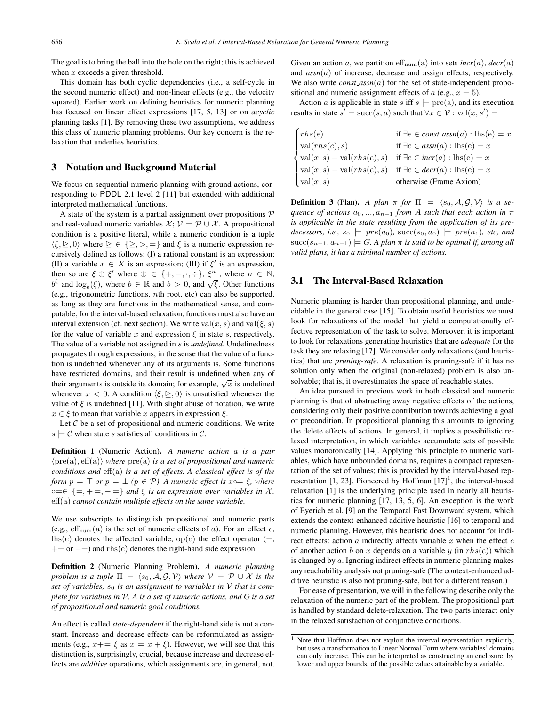The goal is to bring the ball into the hole on the right; this is achieved when  $x$  exceeds a given threshold.

This domain has both cyclic dependencies (i.e., a self-cycle in the second numeric effect) and non-linear effects (e.g., the velocity squared). Earlier work on defining heuristics for numeric planning has focused on linear effect expressions [17, 5, 13] or on *acyclic* planning tasks [1]. By removing these two assumptions, we address this class of numeric planning problems. Our key concern is the relaxation that underlies heuristics.

## 3 Notation and Background Material

We focus on sequential numeric planning with ground actions, corresponding to PDDL 2.1 level 2 [11] but extended with additional interpreted mathematical functions.

A state of the system is a partial assignment over propositions  $P$ and real-valued numeric variables  $\mathcal{X}$ ;  $\mathcal{V} = \mathcal{P} \cup \mathcal{X}$ . A propositional condition is a positive literal, while a numeric condition is a tuple  $\langle \xi, \triangleright, 0 \rangle$  where  $\triangleright \in \{ \gt, \gt, \, = \}$  and  $\xi$  is a numeric expression recursively defined as follows: (I) a rational constant is an expression; (II) a variable  $x \in X$  is an expression; (III) if  $\xi'$  is an expression,<br>then so are  $\xi \oplus \xi'$  where  $\oplus \in \{+\}$   $-$ ,  $-$ )  $\xi^n$  where  $n \in \mathbb{N}$ then so are  $\xi \oplus \xi'$  where  $\oplus \in \{+, -, \cdot, \div\}$ ,  $\xi^n$ , where  $n \in \mathbb{N}$ ,<br>  $h^{\xi}$  and log  $(\xi)$  where  $h \in \mathbb{R}$  and  $h > 0$  and  $\sqrt{\xi}$  Other functions  $b^{\xi}$  and  $\log_b(\xi)$ , where  $b \in \mathbb{R}$  and  $b > 0$ , and  $\sqrt{\xi}$ . Other functions (e.g., trigonometric functions, nth root, etc) can also be supported, as long as they are functions in the mathematical sense, and computable; for the interval-based relaxation, functions must also have an interval extension (cf. next section). We write val $(x, s)$  and val $(\xi, s)$ for the value of variable x and expression  $\xi$  in state s, respectively. The value of a variable not assigned in s is *undefined*. Undefinedness propagates through expressions, in the sense that the value of a function is undefined whenever any of its arguments is. Some functions have restricted domains, and their result is undefined when any of their arguments is outside its domain; for example,  $\sqrt{x}$  is undefined whenever  $x < 0$ . A condition  $\langle \xi, \xi \rangle$ , 0) is unsatisfied whenever the value of  $\xi$  is undefined [11]. With slight abuse of notation, we write  $x \in \xi$  to mean that variable x appears in expression  $\xi$ .

Let  $C$  be a set of propositional and numeric conditions. We write  $s \models C$  when state s satisfies all conditions in C.

Definition 1 (Numeric Action). *A numeric action* a *is a pair* pre(a), eff(a) *where* pre(a) *is a set of propositional and numeric conditions and* eff(a) *is a set of effects. A classical effect is of the form*  $p = \top$  *or*  $p = \bot$  *(p ∈ P). A numeric effect is*  $x \circ = \xi$ *, where*  $\circ \neg \in \mathcal{S} - \bot - \bot - \bot$  and  $\xi$  is an expression over variables in  $\mathcal{X}$  $\infty = \{ =, + =, - = \}$  and  $\xi$  *is an expression over variables in X.* eff(a) *cannot contain multiple effects on the same variable.*

We use subscripts to distinguish propositional and numeric parts (e.g.,  $\text{eff}_{\text{num}}(a)$  is the set of numeric effects of a). For an effect e, lhs(e) denotes the affected variable,  $op(e)$  the effect operator (=,  $+=$  or  $-=$ ) and rhs(e) denotes the right-hand side expression.

Definition 2 (Numeric Planning Problem). *A numeric planning problem is a tuple*  $\Pi = \langle s_0, \mathcal{A}, \mathcal{G}, \mathcal{V} \rangle$  *where*  $\mathcal{V} = \mathcal{P} \cup \mathcal{X}$  *is the* set of variables,  $s_0$  is an assignment to variables in  $V$  that is com*plete for variables in* P*, A is a set of numeric actions, and G is a set of propositional and numeric goal conditions.*

An effect is called *state-dependent* if the right-hand side is not a constant. Increase and decrease effects can be reformulated as assignments (e.g.,  $x+=\xi$  as  $x=x+\xi$ ). However, we will see that this distinction is, surprisingly, crucial, because increase and decrease effects are *additive* operations, which assignments are, in general, not. Given an action a, we partition eff<sub>num</sub>(a) into sets *incr(a)*,  $decr(a)$ and *assn*(a) of increase, decrease and assign effects, respectively. We also write  $const\_{assn}(a)$  for the set of state-independent propositional and numeric assignment effects of  $a$  (e.g.,  $x = 5$ ).

Action a is applicable in state s iff  $s \models \text{pre}(a)$ , and its execution results in state  $s' = \text{succ}(s, a)$  such that  $\forall x \in \mathcal{V} : \text{val}(x, s')$  $\mathcal{L}$ 

|  | if $\exists e \in const\_assn(a) : \text{lhs}(e) = x$                                                                                                                                                                                                                                                                                                                                                                                                                               |
|--|-------------------------------------------------------------------------------------------------------------------------------------------------------------------------------------------------------------------------------------------------------------------------------------------------------------------------------------------------------------------------------------------------------------------------------------------------------------------------------------|
|  | $\label{eq:2} \begin{cases} \mathit{rhs}(e) & \text{if } \exists e \in \mathit{const}.\mathit{assn}(a) : \mathit{lhs}(e) \\ \mathit{val}(\mathit{rhs}(e), s) & \text{if } \exists e \in \mathit{assn}(a) : \mathit{lhs}(e) = x \\ \mathit{val}(x, s) + \mathit{val}(\mathit{rhs}(e), s) & \text{if } \exists e \in \mathit{incr}(a) : \mathit{lhs}(e) = x \\ \mathit{val}(x, s) - \mathit{val}(\mathit{rhs}(e), s) & \text{if } \exists e \in \mathit{decr}(a) : \mathit{lhs}(e) =$ |
|  |                                                                                                                                                                                                                                                                                                                                                                                                                                                                                     |
|  |                                                                                                                                                                                                                                                                                                                                                                                                                                                                                     |
|  |                                                                                                                                                                                                                                                                                                                                                                                                                                                                                     |
|  |                                                                                                                                                                                                                                                                                                                                                                                                                                                                                     |

**Definition 3** (Plan). *A plan*  $\pi$  *for*  $\Pi = \langle s_0, A, \mathcal{G}, \mathcal{V} \rangle$  *is a sequence of actions*  $a_0, ..., a_{n-1}$  *from* A *such that each action in*  $\pi$ *is applicable in the state resulting from the application of its predecessors, i.e.,*  $s_0 \models pre(a_0)$ ,  $succ(s_0, a_0) \models pre(a_1)$ , etc, and succ( $s_{n-1}, a_{n-1}$ )  $\models G$ . A plan  $\pi$  *is said to be optimal if, among all valid plans, it has a minimal number of actions.*

### 3.1 The Interval-Based Relaxation

Numeric planning is harder than propositional planning, and undecidable in the general case [15]. To obtain useful heuristics we must look for relaxations of the model that yield a computationally effective representation of the task to solve. Moreover, it is important to look for relaxations generating heuristics that are *adequate* for the task they are relaxing [17]. We consider only relaxations (and heuristics) that are *pruning-safe*. A relaxation is pruning-safe if it has no solution only when the original (non-relaxed) problem is also unsolvable; that is, it overestimates the space of reachable states.

An idea pursued in previous work in both classical and numeric planning is that of abstracting away negative effects of the actions, considering only their positive contribution towards achieving a goal or precondition. In propositional planning this amounts to ignoring the delete effects of actions. In general, it implies a possibilistic relaxed interpretation, in which variables accumulate sets of possible values monotonically [14]. Applying this principle to numeric variables, which have unbounded domains, requires a compact representation of the set of values; this is provided by the interval-based representation [1, 23]. Pioneered by Hoffman  $[17]$ <sup>1</sup>, the interval-based relaxation [1] is the underlying principle used in nearly all heuristics for numeric planning [17, 13, 5, 6]. An exception is the work of Eyerich et al. [9] on the Temporal Fast Downward system, which extends the context-enhanced additive heuristic [16] to temporal and numeric planning. However, this heuristic does not account for indirect effects: action  $a$  indirectly affects variable  $x$  when the effect  $e$ of another action b on x depends on a variable y (in  $rhs(e)$ ) which is changed by a. Ignoring indirect effects in numeric planning makes any reachability analysis not pruning-safe (The context-enhanced additive heuristic is also not pruning-safe, but for a different reason.)

For ease of presentation, we will in the following describe only the relaxation of the numeric part of the problem. The propositional part is handled by standard delete-relaxation. The two parts interact only in the relaxed satisfaction of conjunctive conditions.

 $\frac{1}{1}$  Note that Hoffman does not exploit the interval representation explicitly, but uses a transformation to Linear Normal Form where variables' domains can only increase. This can be interpreted as constructing an enclosure, by lower and upper bounds, of the possible values attainable by a variable.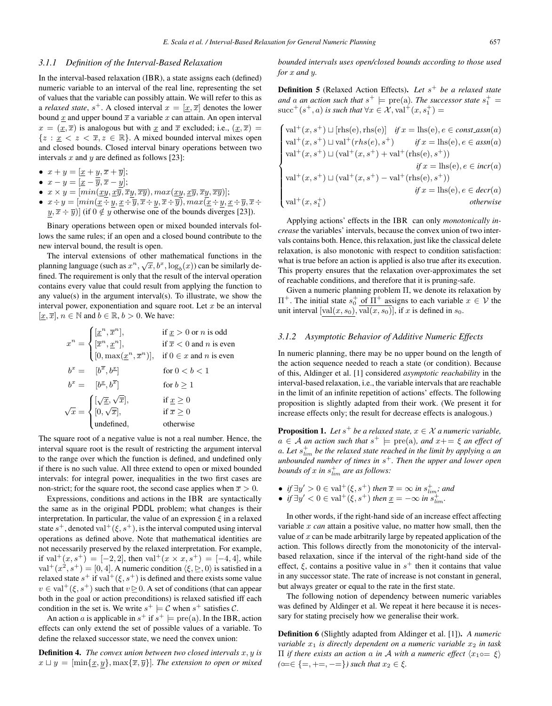#### *3.1.1 Definition of the Interval-Based Relaxation*

In the interval-based relaxation (IBR), a state assigns each (defined) numeric variable to an interval of the real line, representing the set of values that the variable can possibly attain. We will refer to this as a *relaxed state*,  $s^+$ . A closed interval  $x = [x, \overline{x}]$  denotes the lower bound  $\underline{x}$  and upper bound  $\overline{x}$  a variable  $x$  can attain. An open interval  $x = (\underline{x}, \overline{x})$  is analogous but with  $\underline{x}$  and  $\overline{x}$  excluded; i.e.,  $(\underline{x}, \overline{x}) =$  ${z : x < z < \overline{x}, z \in \mathbb{R}}$ . A mixed bounded interval mixes open and closed bounds. Closed interval binary operations between two intervals  $x$  and  $y$  are defined as follows [23]:

- $x + y = [x + y, \overline{x} + \overline{y}];$ <br>•  $x y [x \overline{x}, \overline{x} y].$
- $x y = [\underline{x} \overline{y}, \overline{x} \underline{y}];$ <br>•  $x \times y = [\min(xy, x\overline{y}, \overline{z}])$
- $x \times y = [min(\underline{xy}, \underline{x}\overline{y}, \overline{x}\underline{y}, \overline{xy}), max(\underline{xy}, \underline{x}\overline{y}, \overline{x}\underline{y}, \overline{xy})];$
- $x \div y = [min(\underline{x+y}, \underline{x+y}, \overline{x+y}, \overline{x+y})]$ ,  $max(\underline{x+y}, \underline{x+y}, \overline{x+y})$  $y, \overline{x} \div \overline{y}$ ] (if  $0 \notin y$  otherwise one of the bounds diverges [23]).

Binary operations between open or mixed bounded intervals follows the same rules; if an open and a closed bound contribute to the new interval bound, the result is open.

The interval extensions of other mathematical functions in the planning language (such as  $x^n$ ,  $\sqrt{x}$ ,  $b^x$ ,  $\log_b(x)$ ) can be similarly defined. The requirement is only that the requil of the interval operation fined. The requirement is only that the result of the interval operation contains every value that could result from applying the function to any value(s) in the argument interval(s). To illustrate, we show the interval power, exponentiation and square root. Let  $x$  be an interval  $[x, \overline{x}], n \in \mathbb{N}$  and  $b \in \mathbb{R}, b > 0$ . We have:

$$
x^n = \begin{cases} [\underline{x}^n, \overline{x}^n], & \text{if } \underline{x} > 0 \text{ or } n \text{ is odd} \\ [\overline{x}^n, \underline{x}^n], & \text{if } \overline{x} < 0 \text{ and } n \text{ is even} \\ [0, \max(\underline{x}^n, \overline{x}^n)], & \text{if } 0 \in \underline{x} \text{ and } n \text{ is even} \end{cases}
$$

$$
b^x = [b^{\overline{x}}, b^{\underline{x}}] \qquad \text{for } 0 < b < 1
$$

$$
b^x = [b^{\underline{x}}, b^{\overline{x}}] \qquad \text{for } b \ge 1
$$

$$
\sqrt{x} = \begin{cases} [\sqrt{\underline{x}}, \sqrt{\overline{x}}], & \text{if } \underline{x} \ge 0 \\ [0, \sqrt{\overline{x}}], & \text{if } \overline{x} \ge 0 \\ \text{undefined}, & \text{otherwise} \end{cases}
$$

The square root of a negative value is not a real number. Hence, the interval square root is the result of restricting the argument interval to the range over which the function is defined, and undefined only if there is no such value. All three extend to open or mixed bounded intervals: for integral power, inequalities in the two first cases are non-strict; for the square root, the second case applies when  $\bar{x} > 0$ .

Expressions, conditions and actions in the IBR are syntactically the same as in the original PDDL problem; what changes is their interpretation. In particular, the value of an expression  $\xi$  in a relaxed state  $s^+$ , denoted val<sup>+</sup>( $\xi$ ,  $s^+$ ), is the interval computed using interval operations as defined above. Note that mathematical identities are not necessarily preserved by the relaxed interpretation. For example, if val<sup>+</sup> $(x, s^+)=[-2, 2]$ , then val<sup>+</sup> $(x \times x, s^+)=[-4, 4]$ , while  $val^+(x^2, s^+) = [0, 4]$ . A numeric condition  $\langle \xi, \succeq, 0 \rangle$  is satisfied in a relaxed state  $s^+$  if val<sup>+</sup>( $\xi$ ,  $s^+$ ) is defined and there exists some value  $v \in val^+(\xi, s^+)$  such that  $v \geq 0$ . A set of conditions (that can appear both in the goal or action preconditions) is relaxed satisfied iff each condition in the set is. We write  $s^+ \models C$  when  $s^+$  satisfies C.

An action a is applicable in  $s^+$  if  $s^+$  = pre(a). In the IBR, action effects can only extend the set of possible values of a variable. To define the relaxed successor state, we need the convex union:

**Definition 4.** *The convex union between two closed intervals*  $x, y$  *is*  $x \sqcup y = [\min\{\underline{x}, y\}, \max\{\overline{x}, \overline{y}\}]$ *. The extension to open or mixed* 

*bounded intervals uses open/closed bounds according to those used for* x *and* y*.*

**Definition 5** (Relaxed Action Effects). Let  $s^+$  be a relaxed state *and* a *an* action such that  $s^+$   $\models$  pre(a). The successor state  $s_1^+$  =  $\frac{s_1}{s_1}$  =  $\frac{s_2}{s_1}$  =  $\frac{s_1}{s_2}$   $\frac{s_2}{s_1}$  is such that  $\forall x \in \mathcal{X}$   $\text{val}^+(x, s^+)$  =  $\text{succ}^+(s^+,a)$  *is such that*  $\forall x \in \mathcal{X}, \text{val}^+(x,s_1^+) =$ 

$$
\begin{cases}\n\text{val}^+(x, s^+) \sqcup [\text{rhs}(e), \text{rhs}(e)] & \text{if } x = \text{lhs}(e), e \in \text{const.} \text{assn}(a) \\
\text{val}^+(x, s^+) \sqcup \text{val}^+(rhs(e), s^+) & \text{if } x = \text{lhs}(e), e \in \text{assn}(a) \\
\text{val}^+(x, s^+) \sqcup (\text{val}^+(x, s^+) + \text{val}^+(\text{rhs}(e), s^+)) & \\
\text{if } x = \text{lhs}(e), e \in \text{incr}(a) \\
\text{val}^+(x, s^+) \sqcup (\text{val}^+(x, s^+) - \text{val}^+(\text{rhs}(e), s^+)) & \\
\text{if } x = \text{lhs}(e), e \in \text{decr}(a) \\
\text{val}^+(x, s_1^+) & \text{otherwise}\n\end{cases}
$$

Applying actions' effects in the IBR can only *monotonically increase* the variables' intervals, because the convex union of two intervals contains both. Hence, this relaxation, just like the classical delete relaxation, is also monotonic with respect to condition satisfaction: what is true before an action is applied is also true after its execution. This property ensures that the relaxation over-approximates the set of reachable conditions, and therefore that it is pruning-safe.

Given a numeric planning problem Π, we denote its relaxation by  $\Pi^+$ . The initial state  $s_0^+$  of  $\Pi^+$  assigns to each variable  $x \in V$  the unit interval  $[\text{val}(x, s_0)]$  is  $[\text{rel}(x, s_0)]$  if x is defined in  $s_0$ . unit interval  $[\text{val}(x, s_0), \overline{\text{val}(x, s_0)}]$ , if x is defined in  $s_0$ .

#### *3.1.2 Asymptotic Behavior of Additive Numeric Effects*

In numeric planning, there may be no upper bound on the length of the action sequence needed to reach a state (or condition). Because of this, Aldinger et al. [1] considered *asymptotic reachability* in the interval-based relaxation, i.e., the variable intervals that are reachable in the limit of an infinite repetition of actions' effects. The following proposition is slightly adapted from their work. (We present it for increase effects only; the result for decrease effects is analogous.)

**Proposition 1.** Let  $s^+$  be a relaxed state,  $x \in \mathcal{X}$  a numeric variable,  $a \in \mathcal{A}$  *an action such that*  $s^+ \models \text{pre}(a)$ *, and*  $x^+ = \xi$  *an effect of* a. Let  $s_{\text{lim}}^+$  be the relaxed state reached in the limit by applying a an unbounded number of times in  $s^+$ . Then the unper and lower open *unbounded number of times in* <sup>s</sup><sup>+</sup>*. Then the upper and lower open bounds of*  $x$  *in*  $s_{lim}^+$  *are as follows:* 

- *if*  $\exists y' > 0 \in \text{val}^+( \xi, s^+)$  *then*  $\overline{x} = \infty$  *in*  $s_{\text{lim}}^+$ *; and*<br>• *if*  $\exists y' > 0 \in \text{val}^+( \xi, s^+)$  *then*  $x = -\infty$  *in*  $s^+$
- *if*  $\exists y' < 0 \in val^+(\xi, s^+)$  *then*  $\underline{x} = -\infty$  *in*  $s^+_{lim}$ *.*

In other words, if the right-hand side of an increase effect affecting variable x *can* attain a positive value, no matter how small, then the value of  $x$  can be made arbitrarily large by repeated application of the action. This follows directly from the monotonicity of the intervalbased relaxation, since if the interval of the right-hand side of the effect,  $\xi$ , contains a positive value in  $s^+$  then it contains that value in any successor state. The rate of increase is not constant in general, but always greater or equal to the rate in the first state.

The following notion of dependency between numeric variables was defined by Aldinger et al. We repeat it here because it is necessary for stating precisely how we generalise their work.

Definition 6 (Slightly adapted from Aldinger et al. [1]). *A numeric variable*  $x_1$  *is directly dependent on a numeric variable*  $x_2$  *in task*  $\Pi$  *if there exists an action* a *in* A *with* a numeric effect  $\langle x_1 \circ \in \xi \rangle$  $(\infty \in \{=, +=, -= \})$  *such that*  $x_2 \in \xi$ *.*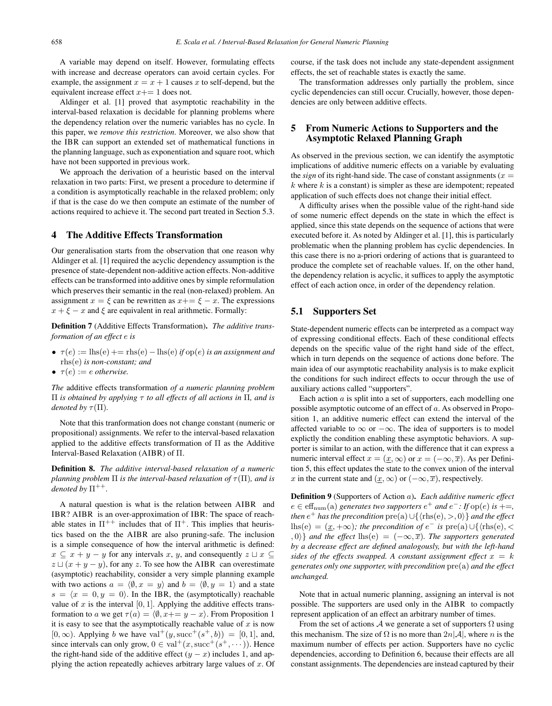A variable may depend on itself. However, formulating effects with increase and decrease operators can avoid certain cycles. For example, the assignment  $x = x + 1$  causes x to self-depend, but the equivalent increase effect  $x+=1$  does not.

Aldinger et al. [1] proved that asymptotic reachability in the interval-based relaxation is decidable for planning problems where the dependency relation over the numeric variables has no cycle. In this paper, we *remove this restriction*. Moreover, we also show that the IBR can support an extended set of mathematical functions in the planning language, such as exponentiation and square root, which have not been supported in previous work.

We approach the derivation of a heuristic based on the interval relaxation in two parts: First, we present a procedure to determine if a condition is asymptotically reachable in the relaxed problem; only if that is the case do we then compute an estimate of the number of actions required to achieve it. The second part treated in Section 5.3.

## 4 The Additive Effects Transformation

Our generalisation starts from the observation that one reason why Aldinger et al. [1] required the acyclic dependency assumption is the presence of state-dependent non-additive action effects. Non-additive effects can be transformed into additive ones by simple reformulation which preserves their semantic in the real (non-relaxed) problem. An assignment  $x = \xi$  can be rewritten as  $x + \xi - x$ . The expressions  $x + \xi - x$  and  $\xi$  are equivalent in real arithmetic. Formally:

Definition 7 (Additive Effects Transformation). *The additive transformation of an effect* e *is*

- $\tau(e) := \text{ln}(e) + \text{ln}(e) \text{ln}(e)$  *if* op(*e*) *is an assignment and* rhs(e) *is non-constant; and*
- $\tau(e) := e$  *otherwise.*

*The* additive effects transformation *of a numeric planning problem* Π *is obtained by applying* τ *to all effects of all actions in* Π*, and is denoted by*  $\tau(\Pi)$ *.* 

Note that this tranformation does not change constant (numeric or propositional) assignments. We refer to the interval-based relaxation applied to the additive effects transformation of  $\Pi$  as the Additive Interval-Based Relaxation (AIBR) of Π.

Definition 8. *The additive interval-based relaxation of a numeric planning problem*  $\Pi$  *is the interval-based relaxation of*  $\tau(\Pi)$ *, and is denoted by*  $\Pi^{++}$ *.* 

A natural question is what is the relation between AIBR and IBR? AIBR is an over-approximation of IBR: The space of reachable states in  $\Pi^{++}$  includes that of  $\Pi^+$ . This implies that heuristics based on the the AIBR are also pruning-safe. The inclusion is a simple consequence of how the interval arithmetic is defined:  $x \subseteq x + y - y$  for any intervals x, y, and consequently  $z \sqcup x \subseteq$  $z \sqcup (x + y - y)$ , for any z. To see how the AIBR can overestimate (asymptotic) reachability, consider a very simple planning example with two actions  $a = \langle \emptyset, x = y \rangle$  and  $b = \langle \emptyset, y = 1 \rangle$  and a state  $s = \langle x = 0, y = 0 \rangle$ . In the IBR, the (asymptotically) reachable value of x is the interval  $[0, 1]$ . Applying the additive effects transformation to a we get  $\tau(a) = \langle \emptyset, x + = y - x \rangle$ . From Proposition 1 it is easy to see that the asymptotically reachable value of  $x$  is now  $[0, \infty)$ . Applying b we have val<sup>+</sup> $(y, \text{succ}^+(s^+, b)) = [0, 1]$ , and, since intervals can only grow,  $0 \in \text{val}^+(x, \text{succ}^+(s^+, \cdots))$ . Hence the right-hand side of the additive effect  $(y - x)$  includes 1, and applying the action repeatedly achieves arbitrary large values of  $x$ . Of course, if the task does not include any state-dependent assignment effects, the set of reachable states is exactly the same.

The transformation addresses only partially the problem, since cyclic dependencies can still occur. Crucially, however, those dependencies are only between additive effects.

## 5 From Numeric Actions to Supporters and the Asymptotic Relaxed Planning Graph

As observed in the previous section, we can identify the asymptotic implications of additive numeric effects on a variable by evaluating the *sign* of its right-hand side. The case of constant assignments ( $x =$  $k$  where  $k$  is a constant) is simpler as these are idempotent; repeated application of such effects does not change their initial effect.

A difficulty arises when the possible value of the right-hand side of some numeric effect depends on the state in which the effect is applied, since this state depends on the sequence of actions that were executed before it. As noted by Aldinger et al. [1], this is particularly problematic when the planning problem has cyclic dependencies. In this case there is no a-priori ordering of actions that is guaranteed to produce the complete set of reachable values. If, on the other hand, the dependency relation is acyclic, it suffices to apply the asymptotic effect of each action once, in order of the dependency relation.

## 5.1 Supporters Set

State-dependent numeric effects can be interpreted as a compact way of expressing conditional effects. Each of these conditional effects depends on the specific value of the right hand side of the effect, which in turn depends on the sequence of actions done before. The main idea of our asymptotic reachability analysis is to make explicit the conditions for such indirect effects to occur through the use of auxiliary actions called "supporters".

Each action  $a$  is split into a set of supporters, each modelling one possible asymptotic outcome of an effect of a. As observed in Proposition 1, an additive numeric effect can extend the interval of the affected variable to  $\infty$  or  $-\infty$ . The idea of supporters is to model explictly the condition enabling these asymptotic behaviors. A supporter is similar to an action, with the difference that it can express a numeric interval effect  $x = (x, \infty)$  or  $x = (-\infty, \overline{x})$ . As per Definition 5, this effect updates the state to the convex union of the interval x in the current state and  $(\underline{x}, \infty)$  or  $(-\infty, \overline{x})$ , respectively.

Definition 9 (Supporters of Action a). *Each additive numeric effect*  $e \in \text{eff}_{\text{num}}(a)$  *generates two supporters*  $e^+$  *and*  $e^-$ *: If* op(*e*) *is* +=*, then*  $e^+$  *has the precondition*  $pre(a) \cup \{ \langle \text{rhs}(e), \rangle, 0 \}$  *and the effect* lhs(e) =  $(x, +\infty)$ *; the precondition of*  $e^-$  *is* pre(a)  $\cup$ { $\langle$ rhs(e), <  $, 0$ } *and the effect* lhs(e) =  $(-\infty, \overline{x})$ *. The supporters generated by a decrease effect are defined analogously, but with the left-hand sides of the effects swapped. A constant assignment effect*  $x = k$ *generates only one supporter, with precondition* pre(a) *and the effect unchanged.*

Note that in actual numeric planning, assigning an interval is not possible. The supporters are used only in the AIBR to compactly represent application of an effect an arbitrary number of times.

From the set of actions A we generate a set of supporters  $\Omega$  using this mechanism. The size of  $\Omega$  is no more than  $2n|\mathcal{A}|$ , where n is the maximum number of effects per action. Supporters have no cyclic dependencies, according to Definition 6, because their effects are all constant assignments. The dependencies are instead captured by their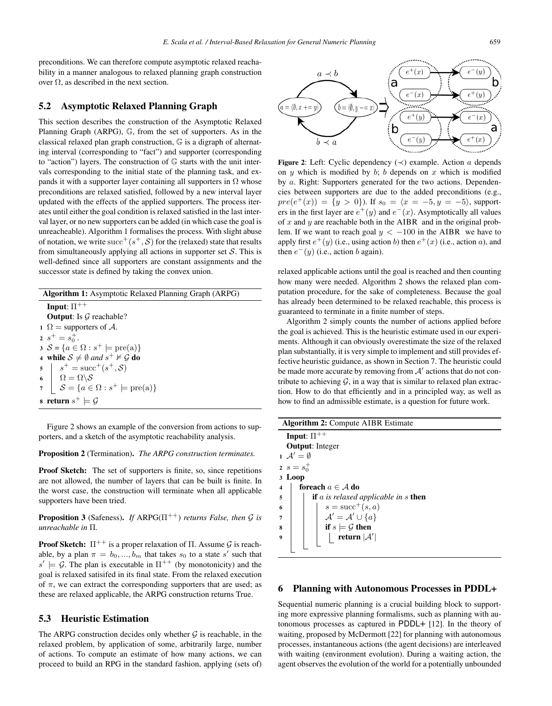preconditions. We can therefore compute asymptotic relaxed reachability in a manner analogous to relaxed planning graph construction over  $Ω$ , as described in the next section.

## 5.2 Asymptotic Relaxed Planning Graph

This section describes the construction of the Asymptotic Relaxed Planning Graph (ARPG), G, from the set of supporters. As in the classical relaxed plan graph construction, G is a digraph of alternating interval (corresponding to "fact") and supporter (corresponding to "action") layers. The construction of  $\mathbb G$  starts with the unit intervals corresponding to the initial state of the planning task, and expands it with a supporter layer containing all supporters in  $\Omega$  whose preconditions are relaxed satisfied, followed by a new interval layer updated with the effects of the applied supporters. The process iterates until either the goal condition is relaxed satisfied in the last interval layer, or no new supporters can be added (in which case the goal is unreacheable). Algorithm 1 formalises the process. With slight abuse of notation, we write  $succ^+(s^+, \mathcal{S})$  for the (relaxed) state that results from simultaneously applying all actions in supporter set  $S$ . This is well-defined since all supporters are constant assignments and the successor state is defined by taking the convex union.

Algorithm 1: Asymptotic Relaxed Planning Graph (ARPG) Input:  $\Pi^+$ **Output:** Is  $G$  reachable? 1  $\Omega$  = supporters of A. 2  $s^+ = s_0^+$ .<br>3  $S - 5a \in$  $3 S = \{a \in \Omega : s^+ \models \text{pre}(a)\}\$ 4 while  $S \neq \emptyset$  and  $s^+ \nvDash \mathcal{G}$  do<br>  $s^- \vdash s^+ = \text{succ}^+(s^+ \cdot S)$  $\begin{array}{c|c} 5 & s^+ = \mathrm{succ}^+(s^+, \mathcal{S}) \ \hline 6 & \Omega = \Omega \backslash \mathcal{S} \end{array}$ 6  $S = \{a \in \Omega : s^+ \models \text{pre}(a)\}$ 8 return  $s^+ \models \mathcal{G}$ 

Figure 2 shows an example of the conversion from actions to supporters, and a sketch of the asymptotic reachability analysis.

#### Proposition 2 (Termination). *The ARPG construction terminates.*

Proof Sketch: The set of supporters is finite, so, since repetitions are not allowed, the number of layers that can be built is finite. In the worst case, the construction will terminate when all applicable supporters have been tried.

**Proposition 3** (Safeness). *If* ARPG( $\Pi^{++}$ ) *returns False, then*  $\mathcal G$  *is unreachable in* Π*.*

**Proof Sketch:**  $\Pi^{++}$  is a proper relaxation of  $\Pi$ . Assume  $\mathcal G$  is reachable, by a plan  $\pi = b_0, ..., b_m$  that takes  $s_0$  to a state s' such that  $s' \vdash G$ . The plan is executable in  $\Pi^{++}$  (by monotonicity) and the  $s' \models \mathcal{G}$ . The plan is executable in  $\Pi^{++}$  (by monotonicity) and the good is relaxed execution goal is relaxed satisifed in its final state. From the relaxed execution of  $\pi$ , we can extract the corresponding supporters that are used; as these are relaxed applicable, the ARPG construction returns True.

#### 5.3 Heuristic Estimation

The ARPG construction decides only whether  $G$  is reachable, in the relaxed problem, by application of some, arbitrarily large, number of actions. To compute an estimate of how many actions, we can proceed to build an RPG in the standard fashion, applying (sets of)



Figure 2: Left: Cyclic dependency  $(\prec)$  example. Action a depends on  $y$  which is modified by  $b$ ;  $b$  depends on  $x$  which is modified by a. Right: Supporters generated for the two actions. Dependencies between supporters are due to the added preconditions (e.g.,  $pre(e^+(x)) = \{y > 0\}$ . If  $s_0 = \langle x = -5, y = -5 \rangle$ , supporters in the first layer are  $e^+(y)$  and  $e^-(x)$ . Asymptotically all values of  $x$  and  $y$  are reachable both in the AIBR and in the original problem. If we want to reach goal  $y < -100$  in the AIBR we have to apply first  $e^+(y)$  (i.e., using action b) then  $e^+(x)$  (i.e., action a), and then  $e^-(y)$  (i.e., action b again).

relaxed applicable actions until the goal is reached and then counting how many were needed. Algorithm 2 shows the relaxed plan computation procedure, for the sake of completeness. Because the goal has already been determined to be relaxed reachable, this process is guaranteed to terminate in a finite number of steps.

Algorithm 2 simply counts the number of actions applied before the goal is achieved. This is the heuristic estimate used in our experiments. Although it can obviously overestimate the size of the relaxed plan substantially, it is very simple to implement and still provides effective heuristic guidance, as shown in Section 7. The heuristic could be made more accurate by removing from  $A'$  actions that do not contribute to achieving  $\mathcal{G}$ , in a way that is similar to relaxed plan extraction. How to do that efficiently and in a principled way, as well as how to find an admissible estimate, is a question for future work.

| <b>Algorithm 2: Compute AIBR Estimate</b>                 |  |  |  |  |  |  |  |  |
|-----------------------------------------------------------|--|--|--|--|--|--|--|--|
| Input: $\Pi^{++}$                                         |  |  |  |  |  |  |  |  |
| <b>Output:</b> Integer                                    |  |  |  |  |  |  |  |  |
| $\Lambda' = \emptyset$                                    |  |  |  |  |  |  |  |  |
| 2 $s = s_0^+$                                             |  |  |  |  |  |  |  |  |
| 3 Loop                                                    |  |  |  |  |  |  |  |  |
| foreach $a \in A$ do<br>$\overline{\mathbf{4}}$           |  |  |  |  |  |  |  |  |
| <b>if</b> a is relaxed applicable in $s$ <b>then</b><br>5 |  |  |  |  |  |  |  |  |
| $s = \text{succ}^+(s, a)$<br>6                            |  |  |  |  |  |  |  |  |
| $\mathcal{A}'=\mathcal{A}'\cup\{a\}$<br>7                 |  |  |  |  |  |  |  |  |
| if $s \models \mathcal{G}$ then<br>8                      |  |  |  |  |  |  |  |  |
| return $ \mathcal{A}' $<br>9                              |  |  |  |  |  |  |  |  |
|                                                           |  |  |  |  |  |  |  |  |

#### 6 Planning with Autonomous Processes in PDDL+

Sequential numeric planning is a crucial building block to supporting more expressive planning formalisms, such as planning with autonomous processes as captured in PDDL+ [12]. In the theory of waiting, proposed by McDermott [22] for planning with autonomous processes, instantaneous actions (the agent decisions) are interleaved with waiting (environment evolution). During a waiting action, the agent observes the evolution of the world for a potentially unbounded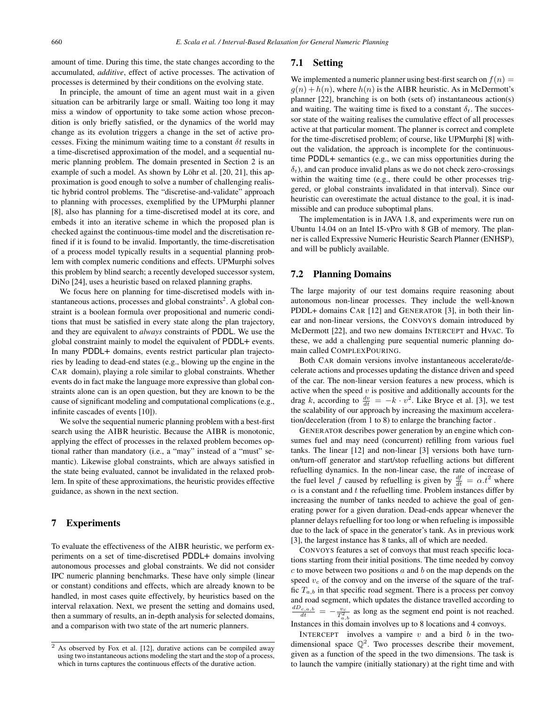amount of time. During this time, the state changes according to the accumulated, *additive*, effect of active processes. The activation of processes is determined by their conditions on the evolving state.

In principle, the amount of time an agent must wait in a given situation can be arbitrarily large or small. Waiting too long it may miss a window of opportunity to take some action whose precondition is only briefly satisfied, or the dynamics of the world may change as its evolution triggers a change in the set of active processes. Fixing the minimum waiting time to a constant  $\delta t$  results in a time-discretised approximation of the model, and a sequential numeric planning problem. The domain presented in Section 2 is an example of such a model. As shown by Löhr et al. [20, 21], this approximation is good enough to solve a number of challenging realistic hybrid control problems. The "discretise-and-validate" approach to planning with processes, exemplified by the UPMurphi planner [8], also has planning for a time-discretised model at its core, and embeds it into an iterative scheme in which the proposed plan is checked against the continuous-time model and the discretisation refined if it is found to be invalid. Importantly, the time-discretisation of a process model typically results in a sequential planning problem with complex numeric conditions and effects. UPMurphi solves this problem by blind search; a recently developed successor system, DiNo [24], uses a heuristic based on relaxed planning graphs.

We focus here on planning for time-discretised models with instantaneous actions, processes and global constraints<sup>2</sup>. A global constraint is a boolean formula over propositional and numeric conditions that must be satisfied in every state along the plan trajectory, and they are equivalent to *always* constraints of PDDL. We use the global constraint mainly to model the equivalent of PDDL+ events. In many PDDL+ domains, events restrict particular plan trajectories by leading to dead-end states (e.g., blowing up the engine in the CAR domain), playing a role similar to global constraints. Whether events do in fact make the language more expressive than global constraints alone can is an open question, but they are known to be the cause of significant modeling and computational complications (e.g., infinite cascades of events [10]).

We solve the sequential numeric planning problem with a best-first search using the AIBR heuristic. Because the AIBR is monotonic, applying the effect of processes in the relaxed problem becomes optional rather than mandatory (i.e., a "may" instead of a "must" semantic). Likewise global constraints, which are always satisfied in the state being evaluated, cannot be invalidated in the relaxed problem. In spite of these approximations, the heuristic provides effective guidance, as shown in the next section.

#### 7 Experiments

To evaluate the effectiveness of the AIBR heuristic, we perform experiments on a set of time-discretised PDDL+ domains involving autonomous processes and global constraints. We did not consider IPC numeric planning benchmarks. These have only simple (linear or constant) conditions and effects, which are already known to be handled, in most cases quite effectively, by heuristics based on the interval relaxation. Next, we present the setting and domains used, then a summary of results, an in-depth analysis for selected domains, and a comparison with two state of the art numeric planners.

## 7.1 Setting

We implemented a numeric planner using best-first search on  $f(n) =$  $g(n) + h(n)$ , where  $h(n)$  is the AIBR heuristic. As in McDermott's planner [22], branching is on both (sets of) instantaneous action(s) and waiting. The waiting time is fixed to a constant  $\delta_t$ . The successor state of the waiting realises the cumulative effect of all processes active at that particular moment. The planner is correct and complete for the time-discretised problem; of course, like UPMurphi [8] without the validation, the approach is incomplete for the continuoustime PDDL+ semantics (e.g., we can miss opportunities during the  $\delta_t$ ), and can produce invalid plans as we do not check zero-crossings within the waiting time (e.g., there could be other processes triggered, or global constraints invalidated in that interval). Since our heuristic can overestimate the actual distance to the goal, it is inadmissible and can produce suboptimal plans.

The implementation is in JAVA 1.8, and experiments were run on Ubuntu 14.04 on an Intel I5-vPro with 8 GB of memory. The planner is called Expressive Numeric Heuristic Search Planner (ENHSP), and will be publicly available.

## 7.2 Planning Domains

The large majority of our test domains require reasoning about autonomous non-linear processes. They include the well-known PDDL+ domains CAR [12] and GENERATOR [3], in both their linear and non-linear versions, the CONVOYS domain introduced by McDermott [22], and two new domains INTERCEPT and HVAC. To these, we add a challenging pure sequential numeric planning domain called COMPLEXPOURING.

Both CAR domain versions involve instantaneous accelerate/decelerate actions and processes updating the distance driven and speed of the car. The non-linear version features a new process, which is active when the speed  $v$  is positive and additionally accounts for the drag k, according to  $\frac{dv}{dt} = -k \cdot v^2$ . Like Bryce et al. [3], we test the scalability of our approach by increasing the maximum acceleration/deceleration (from 1 to 8) to enlarge the branching factor .

GENERATOR describes power generation by an engine which consumes fuel and may need (concurrent) refilling from various fuel tanks. The linear [12] and non-linear [3] versions both have turnon/turn-off generator and start/stop refuelling actions but different refuelling dynamics. In the non-linear case, the rate of increase of the fuel level f caused by refuelling is given by  $\frac{df}{dt} = \alpha t^2$  where  $\alpha$  is a constant and t the refuelling time. Problem instances differ by  $\alpha$  is a constant and t the refuelling time. Problem instances differ by increasing the number of tanks needed to achieve the goal of generating power for a given duration. Dead-ends appear whenever the planner delays refuelling for too long or when refueling is impossible due to the lack of space in the generator's tank. As in previous work [3], the largest instance has 8 tanks, all of which are needed.

CONVOYS features a set of convoys that must reach specific locations starting from their initial positions. The time needed by convoy  $c$  to move between two positions  $a$  and  $b$  on the map depends on the speed  $v_c$  of the convoy and on the inverse of the square of the traffic  $T_{a,b}$  in that specific road segment. There is a process per convoy and road segment, which updates the distance travelled according to  $rac{dD_{c,a,b}}{dt} = -\frac{v_c}{T_{a,b}^2}$  as long as the segment end point is not reached. Instances in this domain involves up to 8 locations and 4 convoys.

INTERCEPT involves a vampire  $v$  and a bird  $b$  in the twodimensional space  $\mathbb{Q}^2$ . Two processes describe their movement, given as a function of the speed in the two dimensions. The task is to launch the vampire (initially stationary) at the right time and with

<sup>2</sup> As observed by Fox et al. [12], durative actions can be compiled away using two instantaneous actions modeling the start and the stop of a process, which in turns captures the continuous effects of the durative action.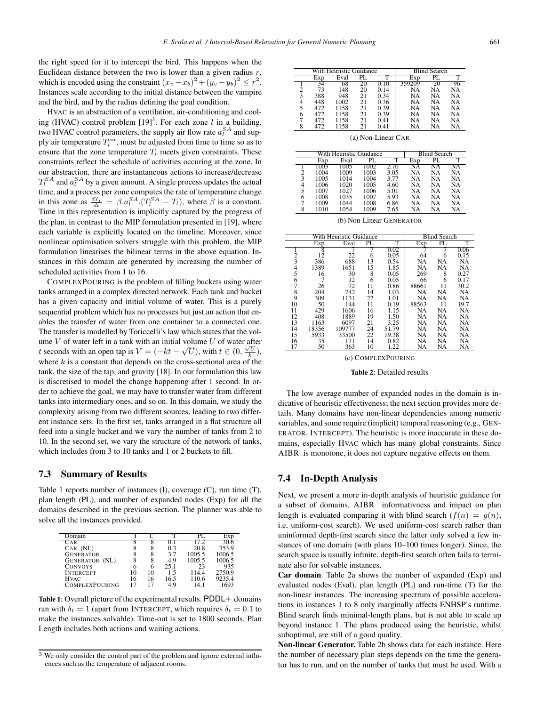HVAC is an abstraction of a ventilation, air-conditioning and cooling (HVAC) control problem  $[19]^3$ . For each zone l in a building,<br>two HVAC control parameters the supply air flow rate  $a^{SA}$  and suptwo HVAC control parameters, the supply air flow rate  $a_i^{SA}$  and sup-<br>ply air temperature  $T^{sa}$  must be adjusted from time to time so as to ply air temperature  $T_i^{sa}$ , must be adjusted from time to time so as to ensure that the zone temperature  $T_i$  meets given constraints. These ensure that the zone temperature  $T_l$  meets given constraints. These constraints reflect the schedule of activities occuring at the zone. In our abstraction, there are instantaneous actions to increase/decrease  $T_1^{SA}$  and  $a_1^{SA}$  by a given amount. A single process updates the actual<br>time, and a process per zone computes the rate of temperature change time, and a process per zone computes the rate of temperature change in this zone as  $\frac{dT_l}{dt} = \beta \cdot a_l^{SA} \cdot (T_l^{SA} - T_l)$ , where  $\beta$  is a constant.<br>Time in this representation is implicitly cantured by the progress of Time in this representation is implicitly captured by the progress of the plan, in contrast to the MIP formulation presented in [19], where each variable is explicitly located on the timeline. Moreover, since nonlinear optimisation solvers struggle with this problem, the MIP formulation linearises the bilinear terms in the above equation. Instances in this domain are generated by increasing the number of scheduled activities from 1 to 16.

COMPLEXPOURING is the problem of filling buckets using water tanks arranged in a complex directed network. Each tank and bucket has a given capacity and initial volume of water. This is a purely sequential problem which has no processes but just an action that enables the transfer of water from one container to a connected one. The transfer is modelled by Toriccelli's law which states that the volume  $V$  of water left in a tank with an initial volume  $U$  of water after t seconds with an open tap is  $V = (-kt - \sqrt{U})$ , with  $t \in (0, \frac{\sqrt{U}}{k})$ , where k is a constant that depends on the cross-sectional area of the where  $k$  is a constant that depends on the cross-sectional area of the tank, the size of the tap, and gravity [18]. In our formulation this law is discretised to model the change happening after 1 second. In order to achieve the goal, we may have to transfer water from different tanks into intermediary ones, and so on. In this domain, we study the complexity arising from two different sources, leading to two different instance sets. In the first set, tanks arranged in a flat structure all feed into a single bucket and we vary the number of tanks from 2 to 10. In the second set, we vary the structure of the network of tanks, which includes from 3 to 10 tanks and 1 or 2 buckets to fill.

## 7.3 Summary of Results

Table 1 reports number of instances (I), coverage (C), run time (T), plan length (PL), and number of expanded nodes (Exp) for all the domains described in the previous section. The planner was able to solve all the instances provided.

| Domain                |    |    |      |        | Exp    |
|-----------------------|----|----|------|--------|--------|
| CAR                   |    |    |      | 17.2   | 30.6   |
| $CAR$ $(NL)$          |    |    | 0.3  | 20.8   | 353.9  |
| <b>GENERATOR</b>      | 8  |    | 37   | 1005.5 | 1006.5 |
| <b>GENERATOR (NL)</b> | 8  |    | 4.9  | 1005.5 | 1006.5 |
| <b>CONVOYS</b>        | 6  | 6  | 25.1 | 23     | 935    |
| <b>INTERCEPT</b>      | 10 | 10 | 15   | 114.4  | 2750.9 |
| <b>HVAC</b>           | 16 | 16 | 16.5 | 110.6  | 9235.4 |
| <b>COMPLEXPOURING</b> | 17 |    | 4.9  | 14.1   | 1693   |

Table 1: Overall picture of the experimental results. PDDL+ domains ran with  $\delta_t = 1$  (apart from INTERCEPT, which requires  $\delta_t = 0.1$  to make the instances solvable). Time-out is set to 1800 seconds. Plan Length includes both actions and waiting actions.

|                    |     | With Heuristic Guidance        | <b>Blind Search</b> |                     |        |    |    |  |  |
|--------------------|-----|--------------------------------|---------------------|---------------------|--------|----|----|--|--|
|                    | Exp | Eval                           | PL.                 | Exp                 | PL.    |    |    |  |  |
|                    | 34  | 68                             | 20                  | 0.10                | 359209 | 20 | 96 |  |  |
|                    | 73  | 148                            | 20                  | 0.14                | NA     | NA | NA |  |  |
| $\frac{2}{3}$      | 388 | 948                            | 21                  | 0.34                | NА     | NA | NA |  |  |
| $\frac{4}{5}$      | 448 | 1002                           | 21                  | 0.36                | NA     | NA | NA |  |  |
|                    | 472 | 1158                           | 21                  | 0.39                | NА     | NA | NA |  |  |
| 6                  | 472 | 1158                           | 21                  | 0.39                | NA     | NA | NA |  |  |
| 7                  | 472 | 1158                           | 21                  | 0.41                | NА     | NA | NA |  |  |
| 8                  | 472 | 1158                           | 21                  | 0.41                | NA     | NA | NA |  |  |
| (a) Non-Linear CAR |     |                                |                     |                     |        |    |    |  |  |
|                    |     | <b>With Heuristic Guidance</b> |                     | <b>Blind Search</b> |        |    |    |  |  |

|   |      | whii Hearistic Oundalice |      | рина эсаги |                        |    |    |
|---|------|--------------------------|------|------------|------------------------|----|----|
|   | Exp  | Eval                     | PL   |            | Exp                    | PL |    |
|   | 1003 | 1005                     | 1002 | 2.70       | $\overline{\text{NA}}$ | NA | NА |
| 2 | 1004 | 1009                     | 1003 | 3.05       | NA                     | NA | NA |
| 3 | 1005 | 1014                     | 1004 | 3.77       | NA                     | NА | NA |
| 4 | 1006 | 1020                     | 1005 | 4.60       | NA                     | NА | NA |
|   | 1007 | 1027                     | 1006 | 5.01       | NA                     | NА | NA |
| 6 | 1008 | 1035                     | 1007 | 5.93       | NА                     | NА | NA |
|   | 1009 | 1044                     | 1008 | 6.86       | NA                     | NA | NA |
| 8 | 1010 | 1054                     | 1009 | 7.65       | NA                     | NA | NA |

(b) Non-Linear GENERATOR

|    |       | With Heuristic Guidance | <b>Blind Search</b> |       |       |           |      |
|----|-------|-------------------------|---------------------|-------|-------|-----------|------|
|    | Exp   | Eval                    | PL                  | T     | Exp   | PL.       | T    |
|    | 8     |                         |                     | 0.02  |       |           | 0.06 |
| 2  | 12    | 22                      | 6                   | 0.05  | 64    | 6         | 0.15 |
| 3  | 386   | 688                     | 13                  | 0.54  | NA    | NA        | NA   |
| 4  | 1389  | 1651                    | 15                  | 1.85  | NA    | <b>NA</b> | NA   |
| 5  | 16    | 30                      | 8                   | 0.05  | 269   | 8         | 0.27 |
| 6  | 7     | 12                      | 6                   | 0.05  | 66    | 6         | 0.17 |
| 7  | 26    | 72                      | 11                  | 0.86  | 88661 | 11        | 30.2 |
| 8  | 204   | 742                     | 14                  | 1.03  | NA    | NA        | NA   |
| 9  | 309   | 1131                    | 22                  | 1.01  | NA    | NA        | NA   |
| 10 | 50    | 144                     | 11                  | 0.19  | 88563 | 11        | 19.7 |
| 11 | 429   | 1606                    | 16                  | 1.15  | NA    | <b>NA</b> | NA   |
| 12 | 408   | 1889                    | 19                  | 1.50  | NA    | NA        | NA   |
| 13 | 1163  | 6097                    | 21                  | 3.25  | NA    | <b>NA</b> | NA   |
| 14 | 18356 | 109777                  | 24                  | 51.79 | NA    | <b>NA</b> | NA   |
| 15 | 5933  | 33500                   | 22                  | 19.38 | NA    | <b>NA</b> | NA   |
| 16 | 35    | 171                     | 14                  | 0.82  | NA    | NA        | NA   |
| 17 | 50    | 363                     | 10                  | 1.22  | NA    | NA        | NA   |
|    |       |                         |                     |       |       |           |      |

(c) COMPLEXPOURING

Table 2: Detailed results

The low average number of expanded nodes in the domain is indicative of heuristic effectiveness; the next section provides more details. Many domains have non-linear dependencies among numeric variables, and some require (implicit) temporal reasoning (e.g., GEN-ERATOR, INTERCEPT). The heuristic is more inaccurate in these domains, especially HVAC which has many global constraints. Since AIBR is monotone, it does not capture negative effects on them.

## 7.4 In-Depth Analysis

Next, we present a more in-depth analysis of heuristic guidance for a subset of domains. AIBR informativness and impact on plan length is evaluated comparing it with blind search  $(f(n) = g(n))$ , i.e, uniform-cost search). We used uniform-cost search rather than uninformed depth-first search since the latter only solved a few instances of one domain (with plans 10–100 times longer). Since, the search space is usually infinite, depth-first search often fails to terminate also for solvable instances.

Car domain. Table 2a shows the number of expanded (Exp) and evaluated nodes (Eval), plan length (PL) and run-time (T) for the non-linear instances. The increasing spectrum of possible accelerations in instances 1 to 8 only marginally affects ENHSP's runtime. Blind search finds minimal-length plans, but is not able to scale up beyond instance 1. The plans produced using the heuristic, whilst suboptimal, are still of a good quality.

Non-linear Generator. Table 2b shows data for each instance. Here the number of necessary plan steps depends on the time the generator has to run, and on the number of tanks that must be used. With a

<sup>3</sup> We only consider the control part of the problem and ignore external influences such as the temperature of adjacent rooms.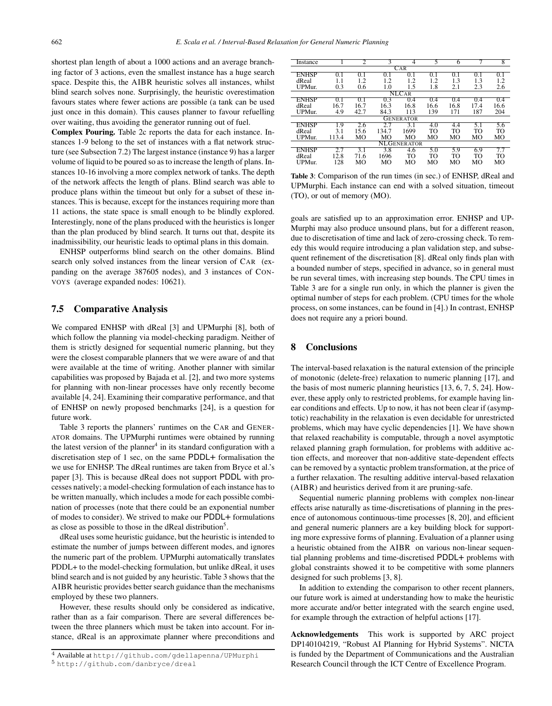shortest plan length of about a 1000 actions and an average branching factor of 3 actions, even the smallest instance has a huge search space. Despite this, the AIBR heuristic solves all instances, whilst blind search solves none. Surprisingly, the heuristic overestimation favours states where fewer actions are possible (a tank can be used just once in this domain). This causes planner to favour refuelling over waiting, thus avoiding the generator running out of fuel.

Complex Pouring. Table 2c reports the data for each instance. Instances 1-9 belong to the set of instances with a flat network structure (see Subsection 7.2) The largest instance (instance 9) has a larger volume of liquid to be poured so as to increase the length of plans. Instances 10-16 involving a more complex network of tanks. The depth of the network affects the length of plans. Blind search was able to produce plans within the timeout but only for a subset of these instances. This is because, except for the instances requiring more than 11 actions, the state space is small enough to be blindly explored. Interestingly, none of the plans produced with the heuristics is longer than the plan produced by blind search. It turns out that, despite its inadmissibility, our heuristic leads to optimal plans in this domain.

ENHSP outperforms blind search on the other domains. Blind search only solved instances from the linear version of CAR (expanding on the average 387605 nodes), and 3 instances of CON-VOYS (average expanded nodes: 10621).

## 7.5 Comparative Analysis

We compared ENHSP with dReal [3] and UPMurphi [8], both of which follow the planning via model-checking paradigm. Neither of them is strictly designed for sequential numeric planning, but they were the closest comparable planners that we were aware of and that were available at the time of writing. Another planner with similar capabilities was proposed by Bajada et al. [2], and two more systems for planning with non-linear processes have only recently become available [4, 24]. Examining their comparative performance, and that of ENHSP on newly proposed benchmarks [24], is a question for future work.

Table 3 reports the planners' runtimes on the CAR and GENER-ATOR domains. The UPMurphi runtimes were obtained by running the latest version of the planner<sup>4</sup> in its standard configuration with a discretisation step of 1 sec, on the same PDDL+ formalisation the we use for ENHSP. The dReal runtimes are taken from Bryce et al.'s paper [3]. This is because dReal does not support PDDL with processes natively; a model-checking formulation of each instance has to be written manually, which includes a mode for each possible combination of processes (note that there could be an exponential number of modes to consider). We strived to make our PDDL+ formulations as close as possible to those in the dReal distribution<sup>5</sup>.

dReal uses some heuristic guidance, but the heuristic is intended to estimate the number of jumps between different modes, and ignores the numeric part of the problem. UPMurphi automatically translates PDDL+ to the model-checking formulation, but unlike dReal, it uses blind search and is not guided by any heuristic. Table 3 shows that the AIBR heuristic provides better search guidance than the mechanisms employed by these two planners.

However, these results should only be considered as indicative, rather than as a fair comparison. There are several differences between the three planners which must be taken into account. For instance, dReal is an approximate planner where preconditions and

| Instance                |                | 2    | 3     | 4                | 5    | 6    |      | 8         |  |  |
|-------------------------|----------------|------|-------|------------------|------|------|------|-----------|--|--|
| $\overline{\text{CAR}}$ |                |      |       |                  |      |      |      |           |  |  |
| <b>ENHSP</b>            | 0.1            | 0.1  | 0.1   | 0.1              | 0.1  | 0.1  | 0.1  | 0.1       |  |  |
| dReal                   | 1.1            | 1.2  | 1.2   | 1.2              | 1.2  | 1.3  | 1.3  | 1.2       |  |  |
| UPMur.                  | 0.3            | 0.6  | 1.0   | 1.5              | 1.8  | 2.1  | 2.3  | 2.6       |  |  |
| NLCAR                   |                |      |       |                  |      |      |      |           |  |  |
| <b>ENHSP</b>            | 0 <sub>1</sub> | 0.1  | 0.3   | 0.4              | 0.4  | 0.4  | 0.4  | 0.4       |  |  |
| dReal                   | 16.7           | 16.7 | 16.3  | 16.8             | 16.6 | 16.8 | 17.4 | 16.6      |  |  |
| UPMur.                  | 4.9            | 42.7 | 84.3  | 113              | 139  | 171  | 187  | 204       |  |  |
|                         |                |      |       | <b>GENERATOR</b> |      |      |      |           |  |  |
| ENHSP                   | 1.9            | 2.6  | 27    | 3.1              | 4.0  | 4.4  | 5.1  | 5.6       |  |  |
| dReal                   | 3.1            | 15.6 | 134.7 | 1699             | TO   | TO   | TO   | TO        |  |  |
| UPMur.                  | 113.4          | MО   | MО    | MO               | MО   | MО   | MО   | МO        |  |  |
|                         | NL GENERATOR   |      |       |                  |      |      |      |           |  |  |
| <b>ENHSP</b>            |                | 3.1  | 3.8   | 4.6              | 5.0  | 5.9  | 6.9  | 7.7       |  |  |
| dReal                   | 12.8           | 71.6 | 1696  | TO               | TO   | TO   | TO   | <b>TO</b> |  |  |
| UPMur.                  | 128            | MО   | MО    | MО               | MО   | MО   | MО   | MO        |  |  |

Table 3: Comparison of the run times (in sec.) of ENHSP, dReal and UPMurphi. Each instance can end with a solved situation, timeout (TO), or out of memory (MO).

goals are satisfied up to an approximation error. ENHSP and UP-Murphi may also produce unsound plans, but for a different reason, due to discretisation of time and lack of zero-crossing check. To remedy this would require introducing a plan validation step, and subsequent refinement of the discretisation [8]. dReal only finds plan with a bounded number of steps, specified in advance, so in general must be run several times, with increasing step bounds. The CPU times in Table 3 are for a single run only, in which the planner is given the optimal number of steps for each problem. (CPU times for the whole process, on some instances, can be found in [4].) In contrast, ENHSP does not require any a priori bound.

## 8 Conclusions

The interval-based relaxation is the natural extension of the principle of monotonic (delete-free) relaxation to numeric planning [17], and the basis of most numeric planning heuristics [13, 6, 7, 5, 24]. However, these apply only to restricted problems, for example having linear conditions and effects. Up to now, it has not been clear if (asymptotic) reachability in the relaxation is even decidable for unrestricted problems, which may have cyclic dependencies [1]. We have shown that relaxed reachability is computable, through a novel asymptotic relaxed planning graph formulation, for problems with additive action effects, and moreover that non-additive state-dependent effects can be removed by a syntactic problem transformation, at the price of a further relaxation. The resulting additive interval-based relaxation (AIBR) and heuristics derived from it are pruning-safe.

Sequential numeric planning problems with complex non-linear effects arise naturally as time-discretisations of planning in the presence of autonomous continuous-time processes [8, 20], and efficient and general numeric planners are a key building block for supporting more expressive forms of planning. Evaluation of a planner using a heuristic obtained from the AIBR on various non-linear sequential planning problems and time-discretised PDDL+ problems with global constraints showed it to be competitive with some planners designed for such problems [3, 8].

In addition to extending the comparison to other recent planners, our future work is aimed at understanding how to make the heuristic more accurate and/or better integrated with the search engine used, for example through the extraction of helpful actions [17].

Acknowledgements This work is supported by ARC project DP140104219, "Robust AI Planning for Hybrid Systems". NICTA is funded by the Department of Communications and the Australian Research Council through the ICT Centre of Excellence Program.

<sup>4</sup> Available at http://github.com/gdellapenna/UPMurphi

<sup>5</sup> http://github.com/danbryce/dreal